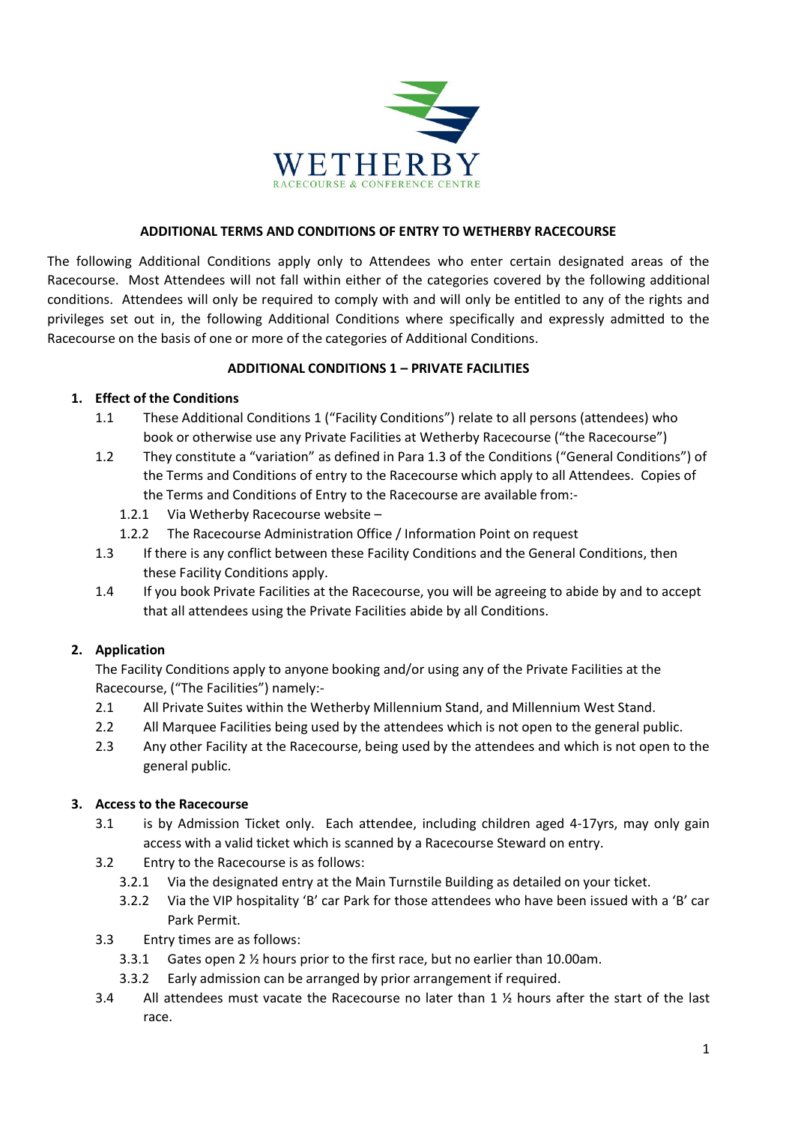

## **ADDITIONAL TERMS AND CONDITIONS OF ENTRY TO WETHERBY RACECOURSE**

The following Additional Conditions apply only to Attendees who enter certain designated areas of the Racecourse. Most Attendees will not fall within either of the categories covered by the following additional conditions. Attendees will only be required to comply with and will only be entitled to any of the rights and privileges set out in, the following Additional Conditions where specifically and expressly admitted to the Racecourse on the basis of one or more of the categories of Additional Conditions.

# **ADDITIONAL CONDITIONS 1 – PRIVATE FACILITIES**

# **1. Effect of the Conditions**

- 1.1 These Additional Conditions 1 ("Facility Conditions") relate to all persons (attendees) who book or otherwise use any Private Facilities at Wetherby Racecourse ("the Racecourse")
- 1.2 They constitute a "variation" as defined in Para 1.3 of the Conditions ("General Conditions") of the Terms and Conditions of entry to the Racecourse which apply to all Attendees. Copies of the Terms and Conditions of Entry to the Racecourse are available from:-
	- 1.2.1 Via Wetherby Racecourse website –
	- 1.2.2 The Racecourse Administration Office / Information Point on request
- 1.3 If there is any conflict between these Facility Conditions and the General Conditions, then these Facility Conditions apply.
- 1.4 If you book Private Facilities at the Racecourse, you will be agreeing to abide by and to accept that all attendees using the Private Facilities abide by all Conditions.

# **2. Application**

The Facility Conditions apply to anyone booking and/or using any of the Private Facilities at the Racecourse, ("The Facilities") namely:-

- 2.1 All Private Suites within the Wetherby Millennium Stand, and Millennium West Stand.
- 2.2 All Marquee Facilities being used by the attendees which is not open to the general public.
- 2.3 Any other Facility at the Racecourse, being used by the attendees and which is not open to the general public.

# **3. Access to the Racecourse**

- 3.1 is by Admission Ticket only. Each attendee, including children aged 4-17yrs, may only gain access with a valid ticket which is scanned by a Racecourse Steward on entry.
- 3.2 Entry to the Racecourse is as follows:
	- 3.2.1 Via the designated entry at the Main Turnstile Building as detailed on your ticket.
	- 3.2.2 Via the VIP hospitality 'B' car Park for those attendees who have been issued with a 'B' car Park Permit.
- 3.3 Entry times are as follows:
	- 3.3.1 Gates open 2 ½ hours prior to the first race, but no earlier than 10.00am.
	- 3.3.2 Early admission can be arranged by prior arrangement if required.
- 3.4 All attendees must vacate the Racecourse no later than 1 ½ hours after the start of the last race.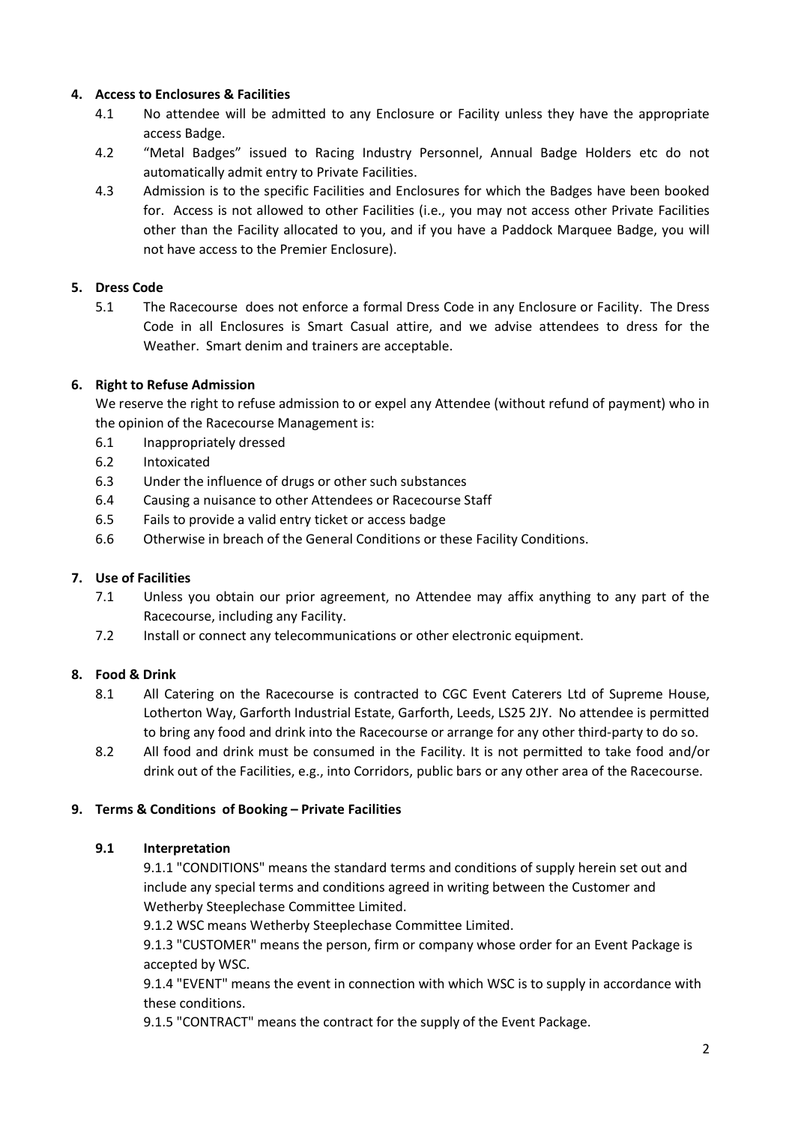# **4. Access to Enclosures & Facilities**

- 4.1 No attendee will be admitted to any Enclosure or Facility unless they have the appropriate access Badge.
- 4.2 "Metal Badges" issued to Racing Industry Personnel, Annual Badge Holders etc do not automatically admit entry to Private Facilities.
- 4.3 Admission is to the specific Facilities and Enclosures for which the Badges have been booked for. Access is not allowed to other Facilities (i.e., you may not access other Private Facilities other than the Facility allocated to you, and if you have a Paddock Marquee Badge, you will not have access to the Premier Enclosure).

# **5. Dress Code**

5.1 The Racecourse does not enforce a formal Dress Code in any Enclosure or Facility. The Dress Code in all Enclosures is Smart Casual attire, and we advise attendees to dress for the Weather. Smart denim and trainers are acceptable.

# **6. Right to Refuse Admission**

We reserve the right to refuse admission to or expel any Attendee (without refund of payment) who in the opinion of the Racecourse Management is:

- 6.1 Inappropriately dressed
- 6.2 Intoxicated
- 6.3 Under the influence of drugs or other such substances
- 6.4 Causing a nuisance to other Attendees or Racecourse Staff
- 6.5 Fails to provide a valid entry ticket or access badge
- 6.6 Otherwise in breach of the General Conditions or these Facility Conditions.

# **7. Use of Facilities**

- 7.1 Unless you obtain our prior agreement, no Attendee may affix anything to any part of the Racecourse, including any Facility.
- 7.2 Install or connect any telecommunications or other electronic equipment.

# **8. Food & Drink**

- 8.1 All Catering on the Racecourse is contracted to CGC Event Caterers Ltd of Supreme House, Lotherton Way, Garforth Industrial Estate, Garforth, Leeds, LS25 2JY. No attendee is permitted to bring any food and drink into the Racecourse or arrange for any other third-party to do so.
- 8.2 All food and drink must be consumed in the Facility. It is not permitted to take food and/or drink out of the Facilities, e.g., into Corridors, public bars or any other area of the Racecourse.

# **9. Terms & Conditions of Booking – Private Facilities**

# **9.1 Interpretation**

9.1.1 "CONDITIONS" means the standard terms and conditions of supply herein set out and include any special terms and conditions agreed in writing between the Customer and Wetherby Steeplechase Committee Limited.

9.1.2 WSC means Wetherby Steeplechase Committee Limited.

9.1.3 "CUSTOMER" means the person, firm or company whose order for an Event Package is accepted by WSC.

9.1.4 "EVENT" means the event in connection with which WSC is to supply in accordance with these conditions.

9.1.5 "CONTRACT" means the contract for the supply of the Event Package.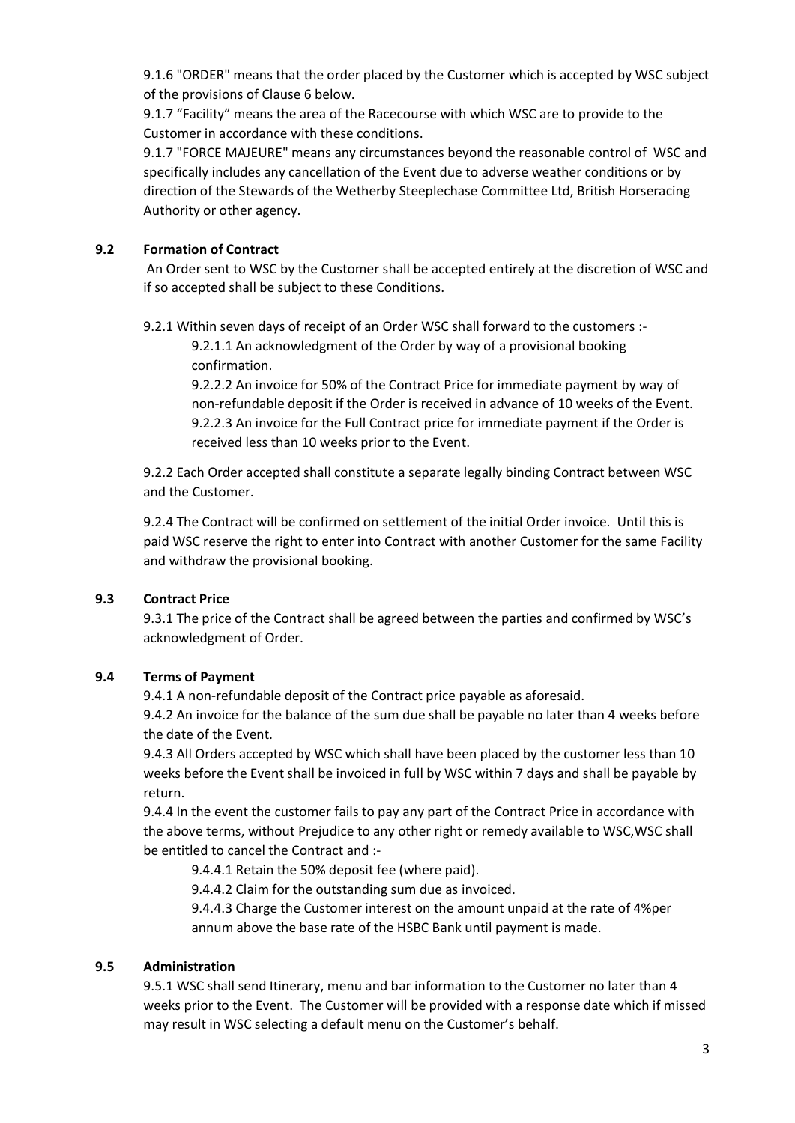9.1.6 "ORDER" means that the order placed by the Customer which is accepted by WSC subject of the provisions of Clause 6 below.

9.1.7 "Facility" means the area of the Racecourse with which WSC are to provide to the Customer in accordance with these conditions.

9.1.7 "FORCE MAJEURE" means any circumstances beyond the reasonable control of WSC and specifically includes any cancellation of the Event due to adverse weather conditions or by direction of the Stewards of the Wetherby Steeplechase Committee Ltd, British Horseracing Authority or other agency.

# **9.2 Formation of Contract**

An Order sent to WSC by the Customer shall be accepted entirely at the discretion of WSC and if so accepted shall be subject to these Conditions.

9.2.1 Within seven days of receipt of an Order WSC shall forward to the customers :-

9.2.1.1 An acknowledgment of the Order by way of a provisional booking confirmation.

9.2.2.2 An invoice for 50% of the Contract Price for immediate payment by way of non-refundable deposit if the Order is received in advance of 10 weeks of the Event. 9.2.2.3 An invoice for the Full Contract price for immediate payment if the Order is received less than 10 weeks prior to the Event.

9.2.2 Each Order accepted shall constitute a separate legally binding Contract between WSC and the Customer.

9.2.4 The Contract will be confirmed on settlement of the initial Order invoice. Until this is paid WSC reserve the right to enter into Contract with another Customer for the same Facility and withdraw the provisional booking.

# **9.3 Contract Price**

9.3.1 The price of the Contract shall be agreed between the parties and confirmed by WSC's acknowledgment of Order.

# **9.4 Terms of Payment**

9.4.1 A non-refundable deposit of the Contract price payable as aforesaid.

9.4.2 An invoice for the balance of the sum due shall be payable no later than 4 weeks before the date of the Event.

9.4.3 All Orders accepted by WSC which shall have been placed by the customer less than 10 weeks before the Event shall be invoiced in full by WSC within 7 days and shall be payable by return.

9.4.4 In the event the customer fails to pay any part of the Contract Price in accordance with the above terms, without Prejudice to any other right or remedy available to WSC,WSC shall be entitled to cancel the Contract and :-

9.4.4.1 Retain the 50% deposit fee (where paid).

9.4.4.2 Claim for the outstanding sum due as invoiced.

9.4.4.3 Charge the Customer interest on the amount unpaid at the rate of 4%per annum above the base rate of the HSBC Bank until payment is made.

# **9.5 Administration**

9.5.1 WSC shall send Itinerary, menu and bar information to the Customer no later than 4 weeks prior to the Event. The Customer will be provided with a response date which if missed may result in WSC selecting a default menu on the Customer's behalf.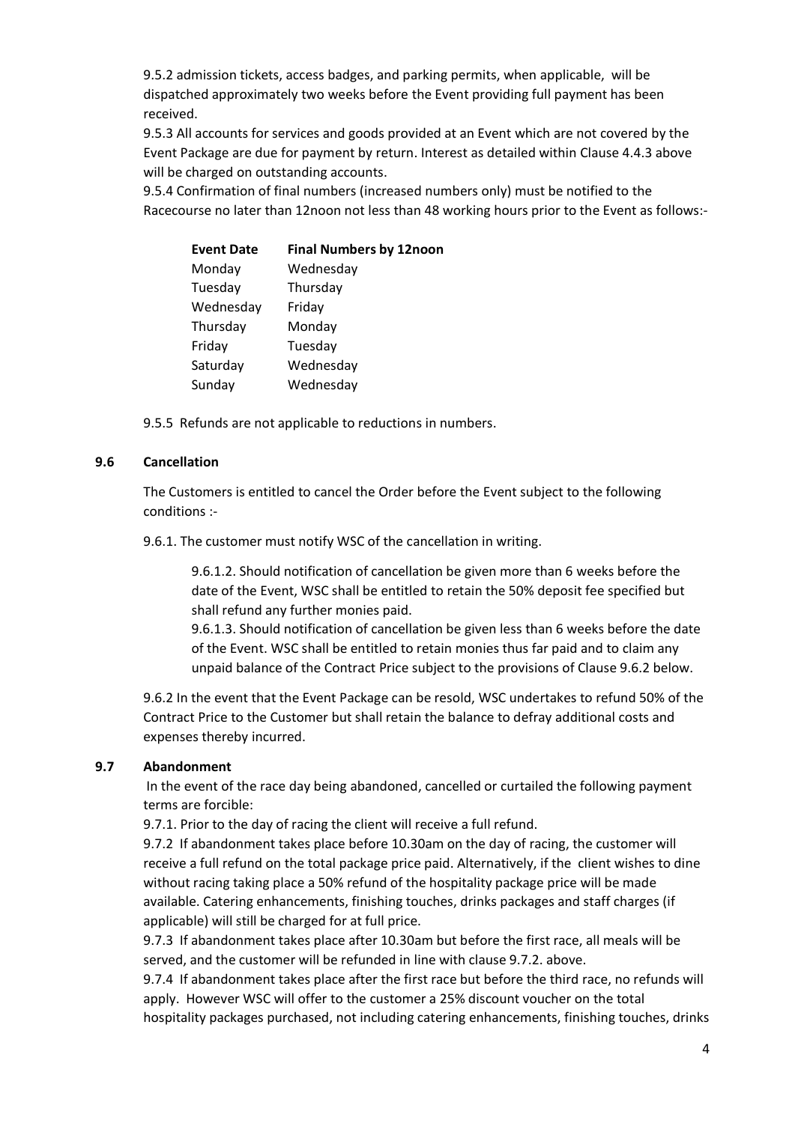9.5.2 admission tickets, access badges, and parking permits, when applicable, will be dispatched approximately two weeks before the Event providing full payment has been received.

9.5.3 All accounts for services and goods provided at an Event which are not covered by the Event Package are due for payment by return. Interest as detailed within Clause 4.4.3 above will be charged on outstanding accounts.

9.5.4 Confirmation of final numbers (increased numbers only) must be notified to the Racecourse no later than 12noon not less than 48 working hours prior to the Event as follows:-

| <b>Event Date</b> | <b>Final Numbers by 12noon</b> |
|-------------------|--------------------------------|
| Monday            | Wednesday                      |
| Tuesday           | Thursday                       |
| Wednesday         | Friday                         |
| Thursday          | Monday                         |
| Friday            | Tuesday                        |
| Saturday          | Wednesday                      |
| Sunday            | Wednesday                      |
|                   |                                |

9.5.5 Refunds are not applicable to reductions in numbers.

### **9.6 Cancellation**

The Customers is entitled to cancel the Order before the Event subject to the following conditions :-

9.6.1. The customer must notify WSC of the cancellation in writing.

9.6.1.2. Should notification of cancellation be given more than 6 weeks before the date of the Event, WSC shall be entitled to retain the 50% deposit fee specified but shall refund any further monies paid.

9.6.1.3. Should notification of cancellation be given less than 6 weeks before the date of the Event. WSC shall be entitled to retain monies thus far paid and to claim any unpaid balance of the Contract Price subject to the provisions of Clause 9.6.2 below.

9.6.2 In the event that the Event Package can be resold, WSC undertakes to refund 50% of the Contract Price to the Customer but shall retain the balance to defray additional costs and expenses thereby incurred.

### **9.7 Abandonment**

In the event of the race day being abandoned, cancelled or curtailed the following payment terms are forcible:

9.7.1. Prior to the day of racing the client will receive a full refund.

9.7.2 If abandonment takes place before 10.30am on the day of racing, the customer will receive a full refund on the total package price paid. Alternatively, if the client wishes to dine without racing taking place a 50% refund of the hospitality package price will be made available. Catering enhancements, finishing touches, drinks packages and staff charges (if applicable) will still be charged for at full price.

9.7.3 If abandonment takes place after 10.30am but before the first race, all meals will be served, and the customer will be refunded in line with clause 9.7.2. above.

9.7.4 If abandonment takes place after the first race but before the third race, no refunds will apply. However WSC will offer to the customer a 25% discount voucher on the total hospitality packages purchased, not including catering enhancements, finishing touches, drinks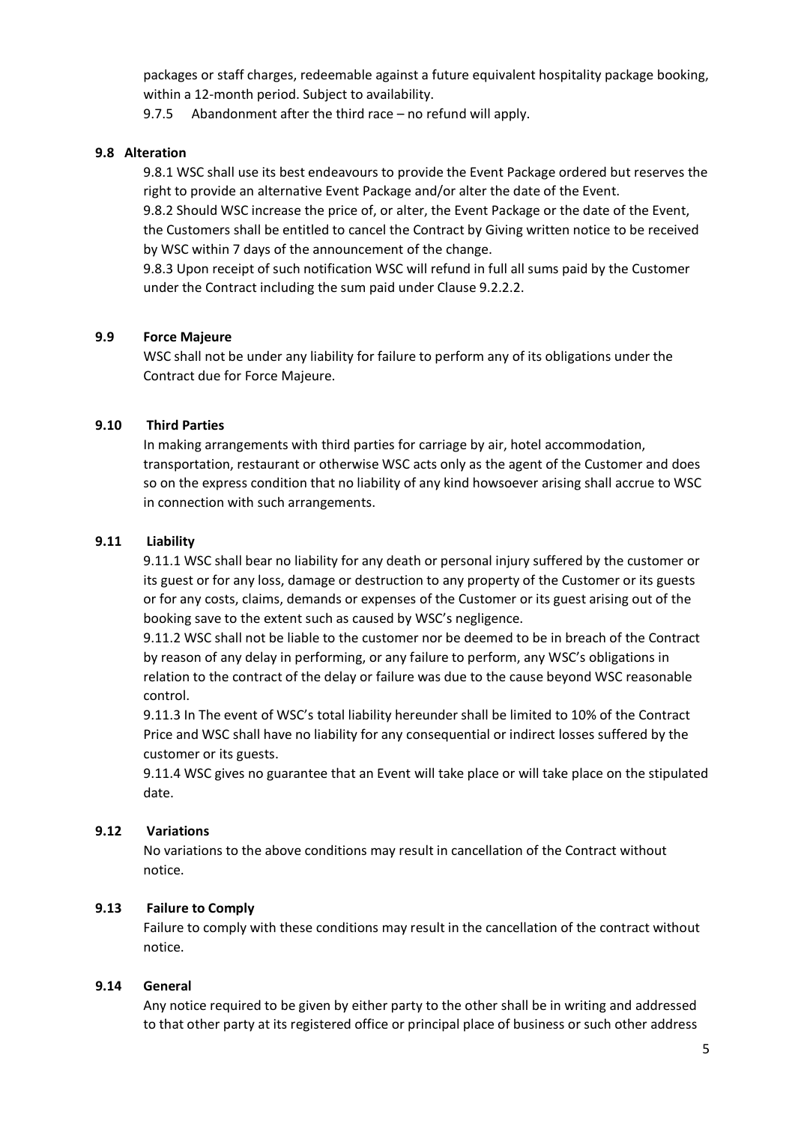packages or staff charges, redeemable against a future equivalent hospitality package booking, within a 12-month period. Subject to availability.

9.7.5 Abandonment after the third race – no refund will apply.

### **9.8 Alteration**

9.8.1 WSC shall use its best endeavours to provide the Event Package ordered but reserves the right to provide an alternative Event Package and/or alter the date of the Event.

9.8.2 Should WSC increase the price of, or alter, the Event Package or the date of the Event, the Customers shall be entitled to cancel the Contract by Giving written notice to be received by WSC within 7 days of the announcement of the change.

9.8.3 Upon receipt of such notification WSC will refund in full all sums paid by the Customer under the Contract including the sum paid under Clause 9.2.2.2.

## **9.9 Force Majeure**

WSC shall not be under any liability for failure to perform any of its obligations under the Contract due for Force Majeure.

## **9.10 Third Parties**

In making arrangements with third parties for carriage by air, hotel accommodation, transportation, restaurant or otherwise WSC acts only as the agent of the Customer and does so on the express condition that no liability of any kind howsoever arising shall accrue to WSC in connection with such arrangements.

## **9.11 Liability**

9.11.1 WSC shall bear no liability for any death or personal injury suffered by the customer or its guest or for any loss, damage or destruction to any property of the Customer or its guests or for any costs, claims, demands or expenses of the Customer or its guest arising out of the booking save to the extent such as caused by WSC's negligence.

9.11.2 WSC shall not be liable to the customer nor be deemed to be in breach of the Contract by reason of any delay in performing, or any failure to perform, any WSC's obligations in relation to the contract of the delay or failure was due to the cause beyond WSC reasonable control.

9.11.3 In The event of WSC's total liability hereunder shall be limited to 10% of the Contract Price and WSC shall have no liability for any consequential or indirect losses suffered by the customer or its guests.

9.11.4 WSC gives no guarantee that an Event will take place or will take place on the stipulated date.

### **9.12 Variations**

No variations to the above conditions may result in cancellation of the Contract without notice.

### **9.13 Failure to Comply**

Failure to comply with these conditions may result in the cancellation of the contract without notice.

### **9.14 General**

Any notice required to be given by either party to the other shall be in writing and addressed to that other party at its registered office or principal place of business or such other address